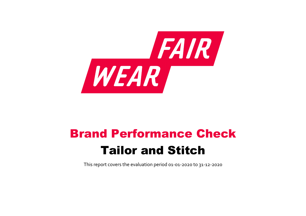

# Brand Performance Check Tailor and Stitch

This report covers the evaluation period 01‐01‐2020 to 31‐12‐2020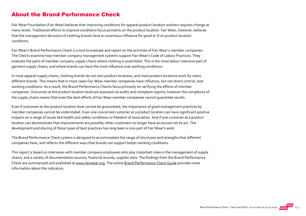#### About the Brand Performance Check

Fair Wear Foundation (Fair Wear) believes that improving conditions for apparel product location workers requires change at many levels. Traditional efforts to improve conditions focus primarily on the product location. Fair Wear, however, believes that the management decisions of clothing brands have an enormous influence for good or ill on product location conditions.

Fair Wear's Brand Performance Check is a tool to evaluate and report on the activities of Fair Wear's member companies. The Checks examine how member company management systems support Fair Wear's Code of Labour Practices. They evaluate the parts of member company supply chains where clothing is assembled. This is the most labour intensive part of garment supply chains, and where brands can have the most influence over working conditions.

In most apparel supply chains, clothing brands do not own product locations, and most product locations work for many different brands. This means that in most cases Fair Wear member companies have influence, but not direct control, over working conditions. As a result, the Brand Performance Checks focus primarily on verifying the efforts of member companies. Outcomes at the product location level are assessed via audits and complaint reports, however the complexity of the supply chains means that even the best efforts of Fair Wear member companies cannot guarantee results.

Even if outcomes at the product location level cannot be guaranteed, the importance of good management practices by member companies cannot be understated. Even one concerned customer at a product location can have significant positive impacts on a range of issues like health and safety conditions or freedom of association. And if one customer at a product location can demonstrate that improvements are possible, other customers no longer have an excuse not to act. The development and sharing of these types of best practices has long been a core part of Fair Wear's work.

The Brand Performance Check system is designed to accommodate the range of structures and strengths that different companies have, and reflects the different ways that brands can support better working conditions.

This report is based on interviews with member company employees who play important roles in the management of supply chains, and a variety of documentation sources, financial records, supplier data. The findings from the Brand Performance Check are summarized and published at [www.fairwear.org](http://www.fairwear.org/). The online [Brand Performance Check Guide](https://api.fairwear.org/wp-content/uploads/2020/03/FWF_BrandPerformanceCheckGuide-DEF.pdf) provides more information about the indicators.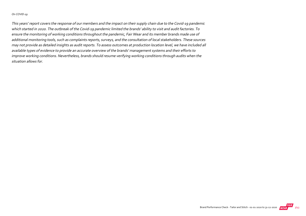#### On COVID‐19

This years' report covers the response of our members and the impact on their supply chain due to the Covid‐19 pandemic which started in 2020. The outbreak of the Covid‐19 pandemic limited the brands' ability to visit and audit factories. To ensure the monitoring of working conditions throughout the pandemic, Fair Wear and its member brands made use of additional monitoring tools, such as complaints reports, surveys, and the consultation of local stakeholders. These sources may not provide as detailed insights as audit reports. To assess outcomes at production location level, we have included all available types of evidence to provide an accurate overview of the brands' management systems and their efforts to improve working conditions. Nevertheless, brands should resume verifying working conditions through audits when the situation allows for.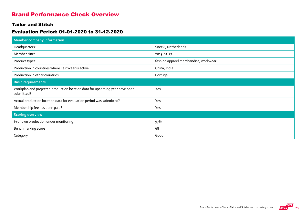### Brand Performance Check Overview

#### Tailor and Stitch

#### Evaluation Period: 01-01-2020 to 31-12-2020

| <b>Member company information</b>                                                         |                                       |
|-------------------------------------------------------------------------------------------|---------------------------------------|
| Headquarters:                                                                             | Sneek, Netherlands                    |
| Member since:                                                                             | 2013-01-27                            |
| Product types:                                                                            | fashion apparel merchandise, workwear |
| Production in countries where Fair Wear is active:                                        | China, India                          |
| Production in other countries:                                                            | Portugal                              |
| <b>Basic requirements</b>                                                                 |                                       |
| Workplan and projected production location data for upcoming year have been<br>submitted? | Yes                                   |
| Actual production location data for evaluation period was submitted?                      | Yes                                   |
| Membership fee has been paid?                                                             | Yes                                   |
| <b>Scoring overview</b>                                                                   |                                       |
| % of own production under monitoring                                                      | 97%                                   |
| Benchmarking score                                                                        | 68                                    |
| Category                                                                                  | Good                                  |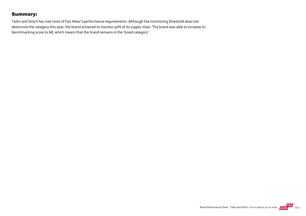### Summary:

Tailor and Stitch has met most of Fair Wear's performance requirements. Although the monitoring threshold does not determine the category this year, the brand achieved to monitor 97% of its supply chain. The brand was able to increase its benchmarking score to 68, which means that the brand remains in the 'Good category'.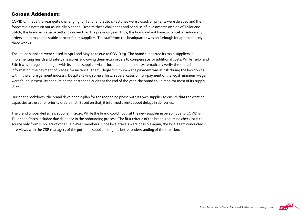#### Corona Addendum:

COVID‐19 made the year quite challenging for Tailor and Stitch. Factories were closed, shipments were delayed and the forecast did not turn out as initially planned. Despite these challenges and because of investments on side of Tailor and Stitch, the brand achieved a better turnover than the previous year. Thus, the brand did not have to cancel or reduce any orders and remained a stable partner for its suppliers. The staff from the headquarter was on furlough for approximately three weeks.

The Indian suppliers were closed in April and May 2020 due to COVID‐19. The brand supported its main suppliers in implementing health and safety measures and giving them extra orders to compensate for additional costs. While Tailor and Stitch was in regular dialogue with its Indian suppliers via its local team, it did not systematically verify the shared information, the payment of wages, for instance. The full legal minimum wage payment was at risk during the lockdowns within the entire garment industry. Despite taking some efforts, several cases of non-payment of the legal minimum wage were found in 2020. By conducting the postponed audits at the end of the year, the brand could monitor most of its supply chain.

During the lockdown, the brand developed a plan for the reopening phase with its own supplier to ensure that the existing capacities are used for priority orders first. Based on that, it informed clients about delays in deliveries.

The brand onboarded a new supplier in 2020. While the brand could not visit the new supplier in person due to COVID‐19, Tailor and Stitch included due diligence in the onboarding process. The first criteria of the brand's sourcing checklist is to source only from suppliers of other Fair Wear members. Once local travels were possible again, the local team conducted interviews with the CSR managers of the potential suppliers to get a better understanding of the situation.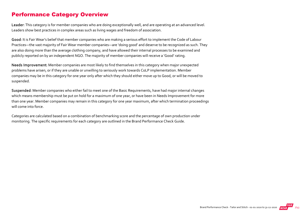### Performance Category Overview

Leader: This category is for member companies who are doing exceptionally well, and are operating at an advanced level. Leaders show best practices in complex areas such as living wages and freedom of association.

Good: It is Fair Wear's belief that member companies who are making a serious effort to implement the Code of Labour Practices—the vast majority of Fair Wear member companies—are 'doing good' and deserve to be recognized as such. They are also doing more than the average clothing company, and have allowed their internal processes to be examined and publicly reported on by an independent NGO. The majority of member companies will receive a 'Good' rating.

Needs Improvement: Member companies are most likely to find themselves in this category when major unexpected problems have arisen, or if they are unable or unwilling to seriously work towards CoLP implementation. Member companies may be in this category for one year only after which they should either move up to Good, or will be moved to suspended.

Suspended: Member companies who either fail to meet one of the Basic Requirements, have had major internal changes which means membership must be put on hold for a maximum of one year, or have been in Needs Improvement for more than one year. Member companies may remain in this category for one year maximum, after which termination proceedings will come into force.

Categories are calculated based on a combination of benchmarking score and the percentage of own production under monitoring. The specific requirements for each category are outlined in the Brand Performance Check Guide.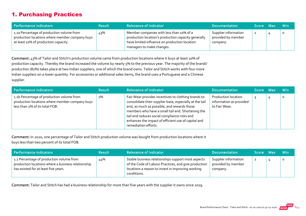# 1. Purchasing Practices

| Performance indicators                                                                                                              | <b>Result</b> | <b>Relevance of Indicator</b>                                                                                                                                                 | <b>Documentation</b>                                   | Score Max      | <b>Min</b> |
|-------------------------------------------------------------------------------------------------------------------------------------|---------------|-------------------------------------------------------------------------------------------------------------------------------------------------------------------------------|--------------------------------------------------------|----------------|------------|
| 1.1a Percentage of production volume from<br>production locations where member company buys<br>at least 10% of production capacity. | 43%           | Member companies with less than 10% of a<br>production location's production capacity generally<br>have limited influence on production location<br>managers to make changes. | Supplier information<br>provided by member<br>company. | $\overline{z}$ | $\circ$    |

Comment: 43% of Tailor and Stitch's production volume came from production locations where it buys at least 10% of production capacity. Thereby the brand increased the volume by nearly 5% to the previous year. The majority of the brands' production (81%) takes place at two Indian suppliers, one of which the brand owns. Tailor and Stitch works with four more Indian suppliers on a lower quantity. For accessories or additional sales items, the brand uses a Portuguese and a Chinese supplier.

| Performance indicators                                                                                                        | <b>Result</b> | <b>Relevance of Indicator</b>                                                                                                                                                                                                                                                                                                                     | <b>Documentation</b>                                            | <b>Score Max</b> | <b>Min</b> |
|-------------------------------------------------------------------------------------------------------------------------------|---------------|---------------------------------------------------------------------------------------------------------------------------------------------------------------------------------------------------------------------------------------------------------------------------------------------------------------------------------------------------|-----------------------------------------------------------------|------------------|------------|
| 1.1b Percentage of production volume from<br>production locations where member company buys<br>less than 2% of its total FOB. | $1\%$         | Fair Wear provides incentives to clothing brands to<br>consolidate their supplier base, especially at the tail<br>end, as much as possible, and rewards those<br>members who have a small tail end. Shortening the<br>tail end reduces social compliance risks and<br>enhances the impact of efficient use of capital and<br>remediation efforts. | Production location<br>information as provided<br>to Fair Wear. |                  | O          |

Comment: In 2020, one percentage of Tailor and Stitch production volume was bought from production locations where it buys less than two percent of its total FOB.

| Performance indicators                                                                                                                 | <b>Result</b> | <b>Relevance of Indicator</b>                                                                                                                                                  | <b>Documentation</b>                                   | Score Max      | <b>Min</b> |
|----------------------------------------------------------------------------------------------------------------------------------------|---------------|--------------------------------------------------------------------------------------------------------------------------------------------------------------------------------|--------------------------------------------------------|----------------|------------|
| 1.2 Percentage of production volume from<br>production locations where a business relationship<br>has existed for at least five years. | 44%           | Stable business relationships support most aspects<br>of the Code of Labour Practices, and give production<br>locations a reason to invest in improving working<br>conditions. | Supplier information<br>provided by member<br>company. | $\overline{2}$ | $\circ$    |

Comment: Tailor and Stitch has had a business relationship for more than five years with the supplier it owns since 2019.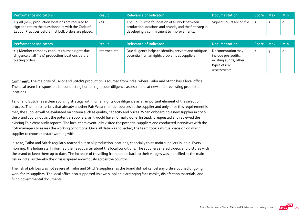| Performance indicators                                                                                                                                            | <b>Result</b> | <b>Relevance of Indicator</b>                                                                                                                        | <b>Documentation</b>      | Score Max | ⊟ Min   |
|-------------------------------------------------------------------------------------------------------------------------------------------------------------------|---------------|------------------------------------------------------------------------------------------------------------------------------------------------------|---------------------------|-----------|---------|
| 1.3 All (new) production locations are required to<br>sign and return the questionnaire with the Code of<br>Labour Practices before first bulk orders are placed. | Yes           | The CoLP is the foundation of all work between<br>production locations and brands, and the first step in<br>developing a commitment to improvements. | Signed CoLPs are on file. |           | $\circ$ |

| Performance indicators                                                                                                | <b>Result</b> | <b>Relevance of Indicator</b>                                                                          | <b>Documentation</b>                                                                                | Score Max | <b>Min</b> |
|-----------------------------------------------------------------------------------------------------------------------|---------------|--------------------------------------------------------------------------------------------------------|-----------------------------------------------------------------------------------------------------|-----------|------------|
| 1.4 Member company conducts human rights due<br>diligence at all (new) production locations before<br>placing orders. | Intermediate  | Due diligence helps to identify, prevent and mitigate<br>potential human rights problems at suppliers. | Documentation may<br>include pre-audits,<br>existing audits, other<br>types of risk<br>assessments. |           | O          |

Comment: The majority of Tailor and Stitch's production is sourced from India, where Tailor and Stitch has a local office. The local team is responsible for conducting human rights due diligence assessments at new and preexisting production locations.

Tailor and Stitch has a clear sourcing strategy with human rights due diligence as an important element of the selection process. The first criteria is that already another Fair Wear member sources at the supplier and only once this requirement is met, the supplier will be evaluated on criteria such as quality, capacity and prices. When onboarding a new supplier in 2020, the brand could not visit the potential suppliers, as it would have normally done. Instead, it requested and reviewed the existing Fair Wear audit reports. The local team eventually visited the potential suppliers and conducted interviews with the CSR managers to assess the working conditions. Once all data was collected, the team took a mutual decision on which supplier to choose to start working with.

In 2020, Tailor and Stitch regularly reached out to all production locations, especially to its main suppliers in India. Every morning, the Indian staff informed the headquarter about the local conditions. The suppliers shared videos and pictures with the brand to keep them up to date. The increase of travelling from people back to their villages was identified as the main risk in India, as thereby the virus is spread enormously across the country.

The risk of job loss was not severe at Tailor and Stitch's suppliers, as the brand did not cancel any orders but had ongoing work for its suppliers. The local office also supported its own supplier in arranging face masks, disinfection materials, and filing governmental documents.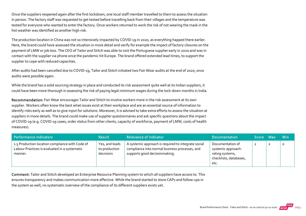Once the suppliers reopened again after the first lockdown, one local staff member travelled to them to assess the situation in person. The factory staff was requested to get tested before travelling back from their villages and the temperature was tested for everyone who wanted to enter the factory. Once workers returned to work the risk of not wearing the mask in the hot weather was identified as another high risk.

The production location in China was not so intensively impacted by COVID-19 in 2020, as everything happed there earlier. Here, the brand could have assessed the situation in more detail and verify for example the impact of factory closures on the payment of LMW or job loss. The CEO of Tailor and Stitch was able to visit the Portuguese supplier early in 2020 and was in contact with the supplier via phone once the pandemic hit Europe. The brand offered extended lead times, to support the supplier to cope with reduced capacities.

After audits had been cancelled due to COVID‐19, Tailor and Stitch initiated two Fair Wear audits at the end of 2020, once audits were possible again.

While the brand has a solid sourcing strategy in place and conducted its risk assessment quite well at its Indian suppliers, it could have been more thorough in assessing the risk of paying legal minimum wages during the lock‐down months in India.

Recommendation: Fair Wear encourages Tailor and Stitch to involve workers more in the risk assessment at its own supplier. Workers often know the best what issues exist at their workplace and are an essential source of information to identify risks early as well as to give input for solutions. Moreover, it is advised to take extra efforts to assess the situation at suppliers in more details. The brand could make use of supplier questionnaires and ask specific questions about the impact of COVID‐19 (e.g. COVID‐19 cases, order status from other clients, capacity of workforce, payment of LMW, costs of health measures).

| Performance indicators                                                                                      | <b>Result</b>                                | <b>Relevance of Indicator</b>                                                                                                          | <b>Documentation</b>                                                                        | Score Max |                | <b>Min</b> |
|-------------------------------------------------------------------------------------------------------------|----------------------------------------------|----------------------------------------------------------------------------------------------------------------------------------------|---------------------------------------------------------------------------------------------|-----------|----------------|------------|
| 1.5 Production location compliance with Code of<br>Labour Practices is evaluated in a systematic<br>manner. | Yes, and leads<br>to production<br>decisions | A systemic approach is required to integrate social<br>compliance into normal business processes, and<br>supports good decisionmaking. | Documentation of<br>systemic approach:<br>rating systems,<br>checklists, databases,<br>etc. | 2         | $\overline{2}$ | $\circ$    |

Comment: Tailor and Stitch developed an Enterprise Resource Planning system to which all suppliers have access to. This ensures transparency and makes communication more effective. While the brand started to store CAPs and follow‐ups in the system as well, no systematic overview of the compliance of its different suppliers exists yet.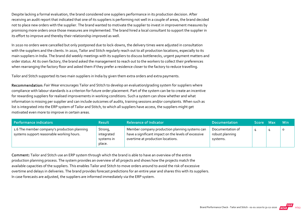Despite lacking a formal evaluation, the brand considered one suppliers performance in its production decision. After receiving an audit report that indicated that one of its suppliers is performing not well in a couple of areas, the brand decided not to place new orders with the supplier. The brand wanted to motivate the supplier to invest in improvement measures by promising more orders once those measures are implemented. The brand hired a local consultant to support the supplier in its effort to improve and thereby their relationship improved as well.

In 2020 no orders were cancelled but only postponed due to lock-downs, the delivery times were adjusted in consultation with the suppliers and the clients. In 2020, Tailor and Stitch regularly reach out to all production locations, especially to its main suppliers in India. The brand did weekly meetings with its suppliers to discuss bottlenecks, urgent payment matters and order status. At its own factory, the brand asked the management to reach out to the workers to collect their preferences when rearranging the factory floor and asked them if they prefer a residence closer to the factory to reduce travelling.

Tailor and Stitch supported its two main suppliers in India by given them extra orders and extra payments.

Recommendation: Fair Wear encourages Tailor and Stitch to develop an evaluation/grading system for suppliers where compliance with labour standards is a criterion for future order placement. Part of the system can be to create an incentive for rewarding suppliers for realised improvements in working conditions. Such a system can show whether and what information is missing per supplier and can include outcomes of audits, training sessions and/or complaints. When such as list is integrated into the ERP system of Tailor and Stitch, to which all suppliers have access, the suppliers might get motivated even more to improve in certain areas.

| Performance indicators                                                                    | <b>Result</b>                                 | <b>Relevance of Indicator</b>                                                                                                               | <b>Documentation</b>                            | Score Max | <b>Min</b> |
|-------------------------------------------------------------------------------------------|-----------------------------------------------|---------------------------------------------------------------------------------------------------------------------------------------------|-------------------------------------------------|-----------|------------|
| 1.6 The member company's production planning<br>systems support reasonable working hours. | Strong,<br>integrated<br>systems in<br>place. | Member company production planning systems can<br>have a significant impact on the levels of excessive<br>overtime at production locations. | Documentation of<br>robust planning<br>systems. |           | $\circ$    |

Comment: Tailor and Stitch use an ERP system through which the brand is able to have an overview of the entire production planning process. The system provides an overview of all projects and shows how the projects match the available capacities of the suppliers. This enables Tailor and Stitch to move orders around to avoid the risk of excessive overtime and delays in deliveries. The brand provides forecast predictions for an entire year and shares this with its suppliers. In case forecasts are adjusted, the suppliers are informed immediately via the ERP system.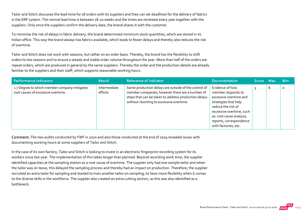Tailor and Stitch discusses the lead‐time for all orders with its suppliers and they can set deadlines for the delivery of fabrics in the ERP system. The normal lead time is between 18‐20 weeks and the times are reviewed every year together with the suppliers. Only once the suppliers confirm the delivery date, the brand shares it with the customer.

To minimise the risk of delays in fabric delivery, the brand determined minimum stock quantities, which are stored in its Indian office. This way the brand always has fabrics available, which leads to fewer delays and thereby also reduces the risk of overtime.

Tailor and Stitch does not work with seasons, but rather on an order basis. Thereby, the brand has the flexibility to shift orders to low seasons and to ensure a steady and stable order volume throughout the year. More than half of the orders are repeat orders, which are produced in general by the same suppliers. Thereby the order and the production details are already familiar to the suppliers and their staff, which supports reasonable working hours.

| Performance indicators                                                             | <b>Result</b>           | <b>Relevance of Indicator</b>                                                                                                                                                                               | <b>Documentation</b>                                                                                                                                                                                                     | Score Max |   | <b>Min</b> |
|------------------------------------------------------------------------------------|-------------------------|-------------------------------------------------------------------------------------------------------------------------------------------------------------------------------------------------------------|--------------------------------------------------------------------------------------------------------------------------------------------------------------------------------------------------------------------------|-----------|---|------------|
| 1.7 Degree to which member company mitigates<br>root causes of excessive overtime. | Intermediate<br>efforts | Some production delays are outside of the control of<br>member companies; however there are a number of<br>steps that can be taken to address production delays<br>without resorting to excessive overtime. | Evidence of how<br>member responds to<br>excessive overtime and<br>strategies that help<br>reduce the risk of<br>excessive overtime, such<br>as: root cause analysis,<br>reports, correspondence<br>with factories, etc. |           | 6 | $\circ$    |

Comment: The two audits conducted by FWF in 2020 and also those conducted at the end of 2019 revealed issues with documenting working hours at some suppliers of Tailor and Stitch.

In the case of its own factory, Tailor and Stitch is looking to invest in an electronic fingerprint recording system for its workers since last year. The implementation of this takes longer than planned. Beyond recording work time, the supplier identified capacities at the sampling station as a root cause of overtime. The supplier only had one sample tailor and when the tailor was on leave, this delayed the sampling process and thereby had an impact on production. Therefore, the supplier recruited an extra tailor for sampling and started to train another tailor on sampling, to have more flexibility when it comes to the diverse skills in the workforce. The supplier also created an extra cutting section, as this was also identified as a bottleneck.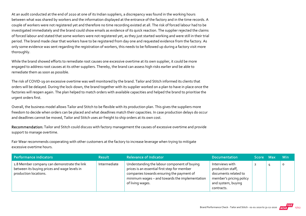At an audit conducted at the end of 2020 at one of its Indian suppliers, a discrepancy was found in the working hours between what was shared by workers and the information displayed at the entrance of the factory and in the time records. A couple of workers were not registered yet and therefore no time recording existed at all. The risk of forced labour had to be investigated immediately and the brand could show emails as evidence of its quick reaction. The supplier rejected the claims of forced labour and stated that some workers were not registered yet, as they just started working and were still in their trial period. The brand made clear that workers have to be registered from day one and requested evidence from the factory. As only some evidence was sent regarding the registration of workers, this needs to be followed up during a factory visit more thoroughly.

While the brand showed efforts to remediate root causes one excessive overtime at its own supplier, it could be more engaged to address root causes at its other suppliers. Thereby, the brand can assess high risks earlier and be able to remediate them as soon as possible.

The risk of COVID‐19 on excessive overtime was well monitored by the brand. Tailor and Stitch informed its clients that orders will be delayed. During the lock‐down, the brand together with its supplier worked on a plan to have in place once the factories will reopen again. The plan helped to match orders with available capacities and helped the brand to prioritise the urgent orders first.

Overall, the business model allows Tailor and Stitch to be flexible with its production plan. This gives the suppliers more freedom to decide when orders can be placed and what deadlines match their capacities. In case production delays do occur and deadlines cannot be moved, Tailor and Stitch uses air freight to ship orders at its own cost.

Recommendation: Tailor and Stitch could discuss with factory management the causes of excessive overtime and provide support to manage overtime.

Fair Wear recommends cooperating with other customers at the factory to increase leverage when trying to mitigate excessive overtime hours.

| Performance indicators                                                                                               | <b>Result</b> | <b>Relevance of Indicator</b>                                                                                                                                                                                   | <b>Documentation</b>                                                                                                        | Score Max | <b>Min</b> |
|----------------------------------------------------------------------------------------------------------------------|---------------|-----------------------------------------------------------------------------------------------------------------------------------------------------------------------------------------------------------------|-----------------------------------------------------------------------------------------------------------------------------|-----------|------------|
| 1.8 Member company can demonstrate the link<br>between its buying prices and wage levels in<br>production locations. | Intermediate  | Understanding the labour component of buying<br>prices is an essential first step for member<br>companies towards ensuring the payment of<br>minimum wages - and towards the implementation<br>of living wages. | Interviews with<br>production staff,<br>documents related to<br>member's pricing policy<br>and system, buying<br>contracts. | ∠         |            |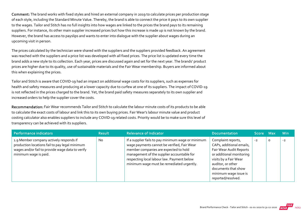Comment: The brand works with fixed styles and hired an external company in 2019 to calculate prices per production stage of each style, including the Standard Minute Value. Thereby, the brand is able to connect the price it pays to its own supplier to the wages. Tailor and Stitch has no full insights into how wages are linked to the prices the brand pays to its remaining suppliers. For instance, its other main supplier increased prices but how this increase is made up is not known by the brand. However, the brand has access to payslips and wants to enter into dialogue with the supplier about wages during an upcoming visit in person.

The prices calculated by the technician were shared with the suppliers and the suppliers provided feedback. An agreement was reached with the suppliers and a price list was developed with all fixed prices. The price list is updated every time the brand adds a new style to its collection. Each year, prices are discussed again and set for the next year. The brands' product prices are higher due to its quality, use of sustainable materials and the Fair Wear membership. Buyers are informed about this when explaining the prices.

Tailor and Stitch is aware that COVID‐19 had an impact on additional wage costs for its suppliers, such as expenses for health and safety measures and producing at a lower capacity due to curfew at one of its suppliers. The impact of COVID‐19 is not reflected in the prices charged to the brand. Yet, the brand paid safety measures separately to its own supplier and increased orders to help the supplier cover the costs.

Recommendation: Fair Wear recommends Tailor and Stitch to calculate the labour minute costs of its products to be able to calculate the exact costs of labour and link this to its own buying prices. Fair Wear's labour minute value and product costing calculator also enables suppliers to include any COVID‐19 related costs. Priority would be to make sure this level of transparency can be achieved with its suppliers.

| Performance indicators                                                                                                                                                 | <b>Result</b> | <b>Relevance of Indicator</b>                                                                                                                                                                                                                                                       | <b>Documentation</b>                                                                                                                                                                                                      | <b>Score Max</b> ' |         | <b>Min</b> |
|------------------------------------------------------------------------------------------------------------------------------------------------------------------------|---------------|-------------------------------------------------------------------------------------------------------------------------------------------------------------------------------------------------------------------------------------------------------------------------------------|---------------------------------------------------------------------------------------------------------------------------------------------------------------------------------------------------------------------------|--------------------|---------|------------|
| 1.9 Member company actively responds if<br>production locations fail to pay legal minimum<br>wages and/or fail to provide wage data to verify<br>minimum wage is paid. | <b>No</b>     | If a supplier fails to pay minimum wage or minimum<br>wage payments cannot be verified, Fair Wear<br>member companies are expected to hold<br>management of the supplier accountable for<br>respecting local labour law. Payment below<br>minimum wage must be remediated urgently. | Complaint reports,<br>CAPs, additional emails,<br>Fair Wear Audit Reports<br>or additional monitoring<br>visits by a Fair Wear<br>auditor, or other<br>documents that show<br>minimum wage issue is<br>reported/resolved. | $-2$               | $\circ$ | $-2$       |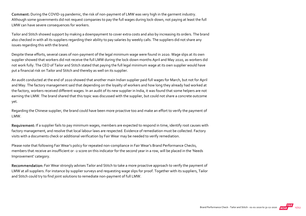Comment: During the COVID‐19 pandemic, the risk of non‐payment of LMW was very high in the garment industry. Although some governments did not request companies to pay the full wages during lock‐down, not paying at least the full LMW can have severe consequences for workers.

Tailor and Stitch showed support by making a downpayment to cover extra costs and also by increasing its orders. The brand also checked in with all its suppliers regarding their ability to pay salaries by weekly calls. The suppliers did not share any issues regarding this with the brand.

Despite these efforts, several cases of non‐payment of the legal minimum wage were found in 2020. Wage slips at its own supplier showed that workers did not receive the full LMW during the lock-down months April and May 2020, as workers did not work fully. The CEO of Tailor and Stitch stated that paying the full legal minimum wage at its own supplier would have put a financial risk on Tailor and Stitch and thereby as well on its supplier.

An audit conducted at the end of 2020 showed that another main Indian supplier paid full wages for March, but not for April and May. The factory management said that depending on the loyalty of workers and how long they already had worked at the factory, workers received different wages. In an audit of its new supplier in India, it was found that some helpers are not earning the LMW. The brand shared that this topic was discussed with the supplier, but could not share a concrete outcome yet.

Regarding the Chinese supplier, the brand could have been more proactive too and make an effort to verify the payment of LMW.

Requirement: If a supplier fails to pay minimum wages, members are expected to respond in time, identify root causes with factory management, and resolve that local labour laws are respected. Evidence of remediation must be collected. Factory visits with a documents check or additional verification by Fair Wear may be needed to verify remediation.

Please note that following Fair Wear's policy for repeated non-compliance in Fair Wear's Brand Performance Checks, members that receive an insufficient or ‐2 score on this indicator for the second year in a row, will be placed in the 'Needs Improvement' category.

Recommendation: Fair Wear strongly advises Tailor and Stitch to take a more proactive approach to verify the payment of LMW at all suppliers. For instance by supplier surveys and requesting wage slips for proof. Together with its suppliers, Tailor and Stitch could try to find joint solutions to remediate non‐payment of full LMW.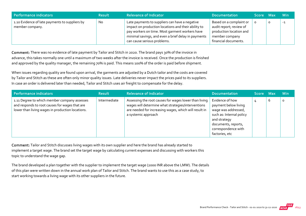| Performance indicators                                            | <b>Result</b> | <b>Relevance of Indicator</b>                                                                                                                                                                                                                 | <b>Documentation</b>                                                                                                    | Score Max |   | – Min |
|-------------------------------------------------------------------|---------------|-----------------------------------------------------------------------------------------------------------------------------------------------------------------------------------------------------------------------------------------------|-------------------------------------------------------------------------------------------------------------------------|-----------|---|-------|
| 1.10 Evidence of late payments to suppliers by<br>member company. | No.           | Late payments to suppliers can have a negative<br>impact on production locations and their ability to<br>pay workers on time. Most garment workers have<br>minimal savings, and even a brief delay in payments<br>can cause serious problems. | Based on a complaint or<br>audit report; review of<br>production location and<br>member company<br>financial documents. |           | O | $-1$  |

Comment: There was no evidence of late payment by Tailor and Stitch in 2020. The brand pays 30% of the invoice in advance, this takes normally one until a maximum of two weeks after the invoice is received. Once the production is finished and approved by the quality manager, the remaining 70% is paid. This means 100% of the order is paid before shipment.

When issues regarding quality are found upon arrival, the garments are adjusted by a Dutch tailor and the costs are covered by Tailor and Stitch as these are often only minor quality issues. Late deliveries never impact the prices paid to its suppliers. In case an order is delivered later than needed, Tailor and Stitch uses air freight to compensate for the delay.

| Performance indicators                                                                                                                             | <b>Result</b> | <b>Relevance of Indicator</b>                                                                                                                                                               | <b>Documentation</b>                                                                                                                                                       | Score Max |   | <b>Min</b> |
|----------------------------------------------------------------------------------------------------------------------------------------------------|---------------|---------------------------------------------------------------------------------------------------------------------------------------------------------------------------------------------|----------------------------------------------------------------------------------------------------------------------------------------------------------------------------|-----------|---|------------|
| 1.11 Degree to which member company assesses<br>and responds to root causes for wages that are<br>lower than living wages in production locations. | Intermediate  | Assessing the root causes for wages lower than living<br>wages will determine what strategies/interventions<br>are needed for increasing wages, which will result in<br>a systemic approach | Evidence of how<br>payment below living<br>wage was addressed,<br>such as: Internal policy<br>and strategy<br>documents, reports,<br>correspondence with<br>factories, etc |           | b | $\circ$    |

Comment: Tailor and Stitch discusses living wages with its own supplier and here the brand has already started to implement a target wage. The brand set the target wage by calculating current expenses and discussing with workers this topic to understand the wage gap.

The brand developed a plan together with the supplier to implement the target wage (2000 INR above the LMW). The details of this plan were written down in the annual work plan of Tailor and Stitch. The brand wants to use this as a case study, to start working towards a living wage with its other suppliers in the future.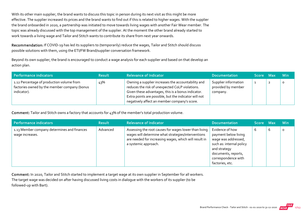With its other main supplier, the brand wants to discuss this topic in person during its next visit as this might be more effective. The supplier increased its prices and the brand wants to find out if this is related to higher wages. With the supplier the brand onboarded in 2020, a partnership was initiated to move towards living wages with another Fair Wear member. The topic was already discussed with the top management of the supplier. At the moment the other brand already started to work towards a living wage and Tailor and Stitch wants to contribute its share from next year onwards.

Recommendation: If COVID-19 has led its suppliers to (temporarily) reduce the wages, Tailor and Stitch should discuss possible solutions with them, using the ETI/FW Brand/supplier conversation framework.

Beyond its own supplier, the brand is encouraged to conduct a wage analysis for each supplier and based on that develop an action plan.

| Performance indicators                                                                                   | <b>Result</b> | <b>Relevance of Indicator</b>                                                                                                                                                                                                                                        | <b>Documentation</b>                                   | Score Max | <b>Min</b> |
|----------------------------------------------------------------------------------------------------------|---------------|----------------------------------------------------------------------------------------------------------------------------------------------------------------------------------------------------------------------------------------------------------------------|--------------------------------------------------------|-----------|------------|
| 1.12 Percentage of production volume from<br>factories owned by the member company (bonus<br>indicator). | 43%           | Owning a supplier increases the accountability and<br>reduces the risk of unexpected CoLP violations.<br>Given these advantages, this is a bonus indicator.<br>Extra points are possible, but the indicator will not<br>negatively affect an member company's score. | Supplier information<br>provided by member<br>company. |           | O          |

Comment: Tailor and Stitch owns a factory that accounts for 43% of the member's total production volume.

| Performance indicators                                         | <b>Result</b> | <b>Relevance of Indicator</b>                                                                                                                                                                | <b>Documentation</b>                                                                                                                                                        | Score Max |   | <b>Min</b> |
|----------------------------------------------------------------|---------------|----------------------------------------------------------------------------------------------------------------------------------------------------------------------------------------------|-----------------------------------------------------------------------------------------------------------------------------------------------------------------------------|-----------|---|------------|
| 1.13 Member company determines and finances<br>wage increases. | Advanced      | Assessing the root causes for wages lower than living<br>wages will determine what strategies/interventions<br>are needed for increasing wages, which will result in<br>a systemic approach. | Evidence of how<br>payment below living<br>wage was addressed,<br>such as: internal policy<br>and strategy<br>documents, reports,<br>correspondence with<br>factories, etc. | O         | 6 | 0          |

Comment: In 2020, Tailor and Stitch started to implement a target wage at its own supplier in September for all workers.

The target wage was decided on after having discussed living costs in dialogue with the workers of its supplier (to be followed‐up with Bart).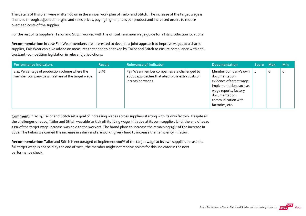The details of this plan were written down in the annual work plan of Tailor and Stitch. The increase of the target wage is financed through adjusted margins and sales prices, paying higher prices per product and increased orders to reduce overhead costs of the supplier.

For the rest of its suppliers, Tailor and Stitch worked with the official minimum wage guide for all its production locations.

Recommendation: In case Fair Wear members are interested to develop a joint approach to improve wages at a shared supplier, Fair Wear can give advice on measures that need to be taken by Tailor and Stitch to ensure compliance with antitrust/anti‐competition legislation in relevant jurisdictions.

| Performance indicators                                                                              | <b>Result</b> | <b>Relevance of Indicator</b>                                                                                        | <b>Documentation</b>                                                                                                                                                             | Score Max |   | <b>Min</b> |
|-----------------------------------------------------------------------------------------------------|---------------|----------------------------------------------------------------------------------------------------------------------|----------------------------------------------------------------------------------------------------------------------------------------------------------------------------------|-----------|---|------------|
| 1.14 Percentage of production volume where the<br>member company pays its share of the target wage. | 49%           | Fair Wear member companies are challenged to<br>adopt approaches that absorb the extra costs of<br>increasing wages. | Member company's own<br>documentation,<br>evidence of target wage<br>implementation, such as<br>wage reports, factory<br>documentation,<br>communication with<br>factories, etc. |           | b | O          |

Comment: In 2019, Tailor and Stitch set a goal of increasing wages across suppliers starting with its own factory. Despite all the challenges of 2020, Tailor and Stitch was able to kick off its living wage initiative at its own supplier. Until the end of 2020 25% of the target wage increase was paid to the workers. The brand plans to increase the remaining 75% of the increase in 2021. The tailors welcomed the increase in salary and are working very hard to increase their efficiency in return.

Recommendation: Tailor and Stitch is encouraged to implement 100% of the target wage at its own supplier. In case the full target wage is not paid by the end of 2021, the member might not receive points for this indicator in the next performance check.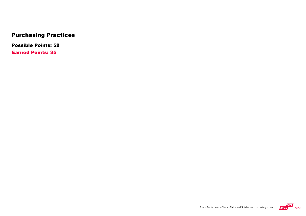# Purchasing Practices

Possible Points: 52

Earned Points: 35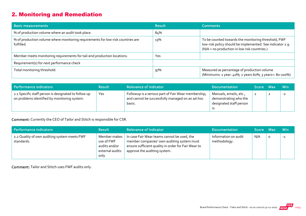# 2. Monitoring and Remediation

| <b>Basic measurements</b>                                                                     | <b>Result</b> | <b>Comments</b>                                                                                                                                                  |
|-----------------------------------------------------------------------------------------------|---------------|------------------------------------------------------------------------------------------------------------------------------------------------------------------|
| % of production volume where an audit took place.                                             | 84%           |                                                                                                                                                                  |
| % of production volume where monitoring requirements for low-risk countries are<br>fulfilled. | 13%           | To be counted towards the monitoring threshold, FWF<br>low-risk policy should be implemented. See indicator 2.9.<br>(N/A = no production in low risk countries.) |
| Member meets monitoring requirements for tail-end production locations.                       | Yes           |                                                                                                                                                                  |
| Requirement(s) for next performance check                                                     |               |                                                                                                                                                                  |
| Total monitoring threshold:                                                                   | 97%           | Measured as percentage of production volume<br>(Minimums: 1 year: 40%; 2 years 60%; 3 years+: 80-100%)                                                           |

| Performance indicators                                                                               | <b>Result</b> | <b>Relevance of Indicator</b>                                                                                    | <b>Documentation</b>                                                              | Score Max |                | <b>Min</b> |
|------------------------------------------------------------------------------------------------------|---------------|------------------------------------------------------------------------------------------------------------------|-----------------------------------------------------------------------------------|-----------|----------------|------------|
| 2.1 Specific staff person is designated to follow up<br>on problems identified by monitoring system. | Yes           | Followup is a serious part of Fair Wear membership,<br>and cannot be successfully managed on an ad-hoc<br>basis. | Manuals, emails, etc.,<br>demonstrating who the<br>designated staff person<br>.כו |           | $\overline{2}$ | $-2$       |

Comment: Currently the CEO of Tailor and Stitch is responsible for CSR.

| Performance indicators                                     | <b>Result</b>                                                          | <b>Relevance of Indicator</b>                                                                                                                                                    | <b>Documentation</b>                 | Score Max |          | <b>Min</b> |
|------------------------------------------------------------|------------------------------------------------------------------------|----------------------------------------------------------------------------------------------------------------------------------------------------------------------------------|--------------------------------------|-----------|----------|------------|
| 2.2 Quality of own auditing system meets FWF<br>standards. | Member makes<br>use of FWF<br>audits and/or<br>external audits<br>only | In case Fair Wear teams cannot be used, the<br>member companies' own auditing system must<br>ensure sufficient quality in order for Fair Wear to<br>approve the auditing system. | Information on audit<br>methodology. | N/A       | $\Omega$ | $-1$       |

Comment: Tailor and Stitch uses FWF audits only.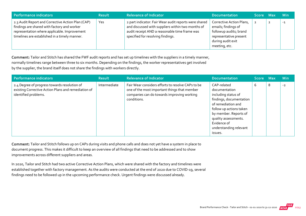| Performance indicators                                                                                                                                                                            | <b>Result</b> | <b>Relevance of Indicator</b>                                                                                                                                                                    | <b>Documentation</b>                                                                                                                      | Score Max | <b>Min</b> |
|---------------------------------------------------------------------------------------------------------------------------------------------------------------------------------------------------|---------------|--------------------------------------------------------------------------------------------------------------------------------------------------------------------------------------------------|-------------------------------------------------------------------------------------------------------------------------------------------|-----------|------------|
| 2.3 Audit Report and Corrective Action Plan (CAP)<br>findings are shared with factory and worker<br>representation where applicable. Improvement<br>timelines are established in a timely manner. | Yes           | 2 part indicator: Fair Wear audit reports were shared<br>and discussed with suppliers within two months of<br>audit receipt AND a reasonable time frame was<br>specified for resolving findings. | Corrective Action Plans,<br>emails; findings of<br>followup audits; brand<br>representative present<br>during audit exit<br>meeting, etc. |           | $-1$       |

Comment: Tailor and Stitch has shared the FWF audit reports and has set up timelines with the suppliers in a timely manner, normally timelines range between three to six months. Depending on the findings, the worker representatives get involved by the supplier, the brand itself does not share the findings with workers directly.

| <b>Performance indicators</b>                                                                                               | <b>Result</b> | <b>Relevance of Indicator</b>                                                                                                                                  | <b>Documentation</b>                                                                                                                                                                                                                 | <b>Score</b> | <b>Max</b> | <b>Min</b> |
|-----------------------------------------------------------------------------------------------------------------------------|---------------|----------------------------------------------------------------------------------------------------------------------------------------------------------------|--------------------------------------------------------------------------------------------------------------------------------------------------------------------------------------------------------------------------------------|--------------|------------|------------|
| 2.4 Degree of progress towards resolution of<br>existing Corrective Action Plans and remediation of<br>identified problems. | Intermediate  | Fair Wear considers efforts to resolve CAPs to be<br>one of the most important things that member<br>companies can do towards improving working<br>conditions. | CAP-related<br>documentation<br>including status of<br>findings, documentation<br>of remediation and<br>follow up actions taken<br>by member. Reports of<br>quality assessments.<br>Evidence of<br>understanding relevant<br>issues. | 6            | 8          | $-2$       |

Comment: Tailor and Stitch follows up on CAPs during visits and phone calls and does not yet have a system in place to document progress. This makes it difficult to keep an overview of all findings that need to be addressed and to show improvements across different suppliers and areas.

In 2020, Tailor and Stitch had two active Corrective Action Plans, which were shared with the factory and timelines were established together with factory management. As the audits were conducted at the end of 2020 due to COVID‐19, several findings need to be followed up in the upcoming performance check. Urgent findings were discussed already.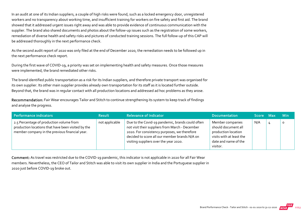In an audit at one of its Indian suppliers, a couple of high risks were found, such as a locked emergency door, unregistered workers and no transparency about working time, and insufficient training for workers on fire safety and first aid. The brand showed that it addressed urgent issues right away and was able to provide evidence of continuous communication with the supplier. The brand also shared documents and photos about the follow-up issues such as the registration of some workers, remediation of diverse health and safety risks and pictures of conducted training sessions. The full follow‐up of this CAP will be addressed thoroughly in the next performance check.

As the second audit report of 2020 was only filed at the end of December 2020, the remediation needs to be followed up in the next performance check report.

During the first wave of COVID‐19, a priority was set on implementing health and safety measures. Once those measures were implemented, the brand remediated other risks.

The brand identified public transportation as a risk for its Indian suppliers, and therefore private transport was organised for its own supplier. Its other main supplier provides already own transportation for its staff as it is located further outside. Beyond that, the brand was in regular contact with all production locations and addressed ad hoc problems as they arose.

Recommendation: Fair Wear encourages Tailor and Stitch to continue strengthening its system to keep track of findings and analyse the progress.

| Performance indicators                                                                                                                           | <b>Result</b>  | <b>Relevance of Indicator</b>                                                                                                                                                                                                                  | <b>Documentation</b>                                                                                                           | Score Max | <b>Min</b> |
|--------------------------------------------------------------------------------------------------------------------------------------------------|----------------|------------------------------------------------------------------------------------------------------------------------------------------------------------------------------------------------------------------------------------------------|--------------------------------------------------------------------------------------------------------------------------------|-----------|------------|
| 2.5 Percentage of production volume from<br>production locations that have been visited by the<br>member company in the previous financial year. | not applicable | Due to the Covid-19 pandemic, brands could often<br>not visit their suppliers from March - December<br>2020. For consistency purposes, we therefore<br>decided to score all our member brands N/A on<br>visiting suppliers over the year 2020. | Member companies<br>should document all<br>production location<br>visits with at least the<br>date and name of the<br>visitor. | N/A       | $\circ$    |

Comment: As travel was restricted due to the COVID‐19 pandemic, this indicator is not applicable in 2020 for all Fair Wear members. Nevertheless, the CEO of Tailor and Stitch was able to visit its own supplier in India and the Portuguese supplier in 2020 just before COVID‐19 broke out.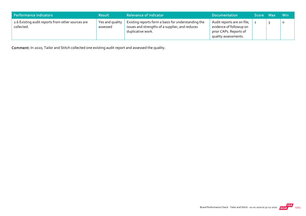| Performance indicators                                          | <b>Result</b>               | <b>Relevance of Indicator</b>                                                                                               | <b>Documentation</b>                                                                                    | <b>Score</b> | - Max | – Min |
|-----------------------------------------------------------------|-----------------------------|-----------------------------------------------------------------------------------------------------------------------------|---------------------------------------------------------------------------------------------------------|--------------|-------|-------|
| 2.6 Existing audit reports from other sources are<br>collected. | Yes and quality<br>assessed | Existing reports form a basis for understanding the<br>issues and strengths of a supplier, and reduces<br>duplicative work. | Audit reports are on file;<br>evidence of followup on<br>prior CAPs. Reports of<br>quality assessments. |              |       |       |

Comment: In 2020, Tailor and Stitch collected one existing audit report and assessed the quality.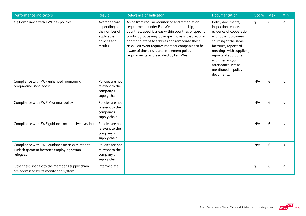| <b>Performance indicators</b>                                                                              | <b>Result</b>                                                                           | <b>Relevance of Indicator</b>                                                                                                                                                                                                                                                                                                                                                                              | <b>Documentation</b>                                                                                                                                                                                                                                                               | <b>Score</b>   | <b>Max</b> | Min  |
|------------------------------------------------------------------------------------------------------------|-----------------------------------------------------------------------------------------|------------------------------------------------------------------------------------------------------------------------------------------------------------------------------------------------------------------------------------------------------------------------------------------------------------------------------------------------------------------------------------------------------------|------------------------------------------------------------------------------------------------------------------------------------------------------------------------------------------------------------------------------------------------------------------------------------|----------------|------------|------|
| 2.7 Compliance with FWF risk policies.                                                                     | Average score<br>depending on<br>the number of<br>applicable<br>policies and<br>results | Aside from regular monitoring and remediation<br>requirements under Fair Wear membership,<br>countries, specific areas within countries or specific<br>product groups may pose specific risks that require<br>additional steps to address and remediate those<br>risks. Fair Wear requires member companies to be<br>aware of those risks and implement policy<br>requirements as prescribed by Fair Wear. | Policy documents,<br>inspection reports,<br>evidence of cooperation<br>with other customers<br>sourcing at the same<br>factories, reports of<br>meetings with suppliers,<br>reports of additional<br>activities and/or<br>attendance lists as<br>mentioned in policy<br>documents. | $\overline{3}$ | 6          | $-2$ |
| Compliance with FWF enhanced monitoring<br>programme Bangladesh                                            | Policies are not<br>relevant to the<br>company's<br>supply chain                        |                                                                                                                                                                                                                                                                                                                                                                                                            |                                                                                                                                                                                                                                                                                    | N/A            | 6          | $-2$ |
| Compliance with FWF Myanmar policy                                                                         | Policies are not<br>relevant to the<br>company's<br>supply chain                        |                                                                                                                                                                                                                                                                                                                                                                                                            |                                                                                                                                                                                                                                                                                    | N/A            | 6          | $-2$ |
| Compliance with FWF guidance on abrasive blasting                                                          | Policies are not<br>relevant to the<br>company's<br>supply chain                        |                                                                                                                                                                                                                                                                                                                                                                                                            |                                                                                                                                                                                                                                                                                    | N/A            | 6          | $-2$ |
| Compliance with FWF guidance on risks related to<br>Turkish garment factories employing Syrian<br>refugees | Policies are not<br>relevant to the<br>company's<br>supply chain                        |                                                                                                                                                                                                                                                                                                                                                                                                            |                                                                                                                                                                                                                                                                                    | N/A            | 6          | $-2$ |
| Other risks specific to the member's supply chain<br>are addressed by its monitoring system                | Intermediate                                                                            |                                                                                                                                                                                                                                                                                                                                                                                                            |                                                                                                                                                                                                                                                                                    | 3              | 6          | $-2$ |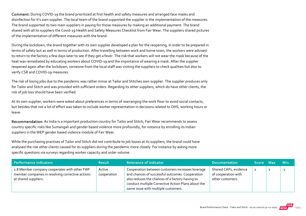Comment: During COVID‐19 the brand prioritized at first health and safety measures and arranged face masks and disinfection for it's own supplier. The local team of the brand supported the supplier in the implementation of the measures. The brand supported its two main suppliers in paying for those measures by making an additional payment. The brand shared with all its suppliers the Covid‐19 Health and Safety Measures Checklist from Fair Wear. The suppliers shared pictures of the implementation of different measures with the brand.

During the lockdown, the brand together with its own supplier developed a plan for the reopening, in order to be prepared in terms of safety but as well in terms of production. After travelling between work and home town, the workers were advised to return to the factory a few days later to see if they get a fever. The risk that workers will not wear the mask because of the heat was remediated by educating workers about COVID-19 and the importance of wearing a mask. After the supplier reopened again after the lockdown, someone from the local staff was visiting the suppliers to check qualities but also to verify CSR and COVID‐19 measures.

The risk of losing jobs due to the pandemic was rather minor at Tailor and Stitches own supplier. The supplier produces only for Tailor and Stitch and was provided with sufficient orders. Regarding its other suppliers, which do have other clients, the risk of job loss should have been verified.

At its own supplier, workers were asked about preferences in terms of rearranging the work floor to avoid social contacts, but besides that not a lot of effort was taken to include worker representation in decisions related to OHS, working hours or leave.

Recommendation: As India is a important production country for Tailor and Stitch, Fair Wear recommends to assess country specific risks like Sumangali and gender based violence more profoundly, for instance by enrolling its Indian suppliers in the WEP gender based violence module of Fair Wear.

While the purchasing practises of Tailor and Stitch did not contribute to job losses at its suppliers, the brand could have analysed the risk other clients caused for its suppliers during the pandemic more closely. For instance by asking more specific questions via surveys regarding worker capacity and order volume.

| Performance indicators                                                                                                   | <b>Result</b>         | <b>Relevance of Indicator</b>                                                                                                                                                                                                                       | <b>Documentation</b>                                             | Score Max | ⊟ Min |
|--------------------------------------------------------------------------------------------------------------------------|-----------------------|-----------------------------------------------------------------------------------------------------------------------------------------------------------------------------------------------------------------------------------------------------|------------------------------------------------------------------|-----------|-------|
| 2.8 Member company cooperates with other FWF<br>member companies in resolving corrective actions<br>at shared suppliers. | Active<br>cooperation | Cooperation between customers increases leverage<br>and chances of successful outcomes. Cooperation<br>also reduces the chances of a factory having to<br>conduct multiple Corrective Action Plans about the<br>same issue with multiple customers. | Shared CAPs, evidence<br>of cooperation with<br>other customers. |           | $-1$  |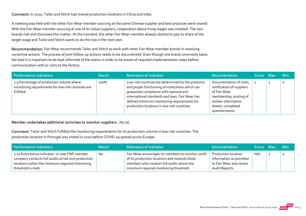Comment: In 2020, Tailor and Stitch had shared production locations in China and India.

A meeting was held with the other Fair Wear member sourcing at the same Chinese supplier and best practices were shared. With the Fair Wear member sourcing at one of its Indian suppliers, cooperation about living wages was initiated. The two brands met and discussed this matter. At the moment, the other Fair Wear member already started to pay its share of the target wage and Tailor and Stitch wants to do this too in the next year.

Recommendation: Fair Wear recommends Tailor and Stitch to work with other Fair Wear member brands in resolving corrective actions. The process of joint follow-up actions needs to be documented. Even though one brand commonly takes the lead it is important to be kept informed of the status in order to be aware of required implementation steps before communication with or visits to the factory.

| Performance indicators                                                                                        | <b>Result</b> | <b>Relevance of Indicator</b>                                                                                                                                                                                                                                                                    | <b>Documentation</b>                                                                                                                                          | Score Max | <b>Min</b> |
|---------------------------------------------------------------------------------------------------------------|---------------|--------------------------------------------------------------------------------------------------------------------------------------------------------------------------------------------------------------------------------------------------------------------------------------------------|---------------------------------------------------------------------------------------------------------------------------------------------------------------|-----------|------------|
| 2.9 Percentage of production volume where<br>monitoring requirements for low-risk countries are<br>fulfilled. | 100%          | Low-risk countries are determined by the presence<br>and proper functioning of institutions which can<br>quarantee compliance with national and<br>international standards and laws. Fair Wear has<br>defined minimum monitoring requirements for<br>production locations in low-risk countries. | Documentation of visits,<br>notification of suppliers<br>of Fair Wear<br>membership; posting of<br>worker information<br>sheets, completed<br>questionnaires. |           | $\circ$    |

#### Member undertakes additional activities to monitor suppliers.: No (0)

Comment: Tailor and Stitch fulfilled the monitoring requirements for its production volume in low‐risk countries. The production location in Portugal was visited in 2020 before COVID‐19 spread across Europe.

| Performance indicators                              | <b>Result</b> | <b>Relevance of Indicator</b>                    | <b>Documentation</b>    | <b>Score</b> | Max | – Min   |
|-----------------------------------------------------|---------------|--------------------------------------------------|-------------------------|--------------|-----|---------|
| 2.10 Extra bonus indicator: in case FWF member      | No            | Fair Wear encourages its members to monitor 100% | Production location     | N/A          |     | $\circ$ |
| company conducts full audits at tail-end production |               | of its production locations and rewards those    | information as provided |              |     |         |
| locations (when the minimum required monitoring     |               | members who conduct full audits above the        | to Fair Wear and recent |              |     |         |
| threshold is met).                                  |               | minimum required monitoring threshold.           | Audit Reports.          |              |     |         |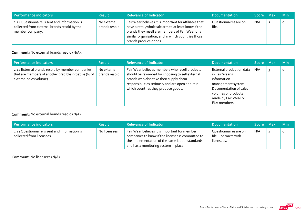| Performance indicators                                                                                           | <b>Result</b>                | <b>Relevance of Indicator</b>                                                                                                                                                                                                                    | <b>Documentation</b>           | ا Score Max | – Min   |
|------------------------------------------------------------------------------------------------------------------|------------------------------|--------------------------------------------------------------------------------------------------------------------------------------------------------------------------------------------------------------------------------------------------|--------------------------------|-------------|---------|
| 2.11 Questionnaire is sent and information is<br>collected from external brands resold by the<br>member company. | No external<br>brands resold | Fair Wear believes it is important for affiliates that<br>have a retail/wholesale arm to at least know if the<br>brands they resell are members of Fair Wear or a<br>similar organisation, and in which countries those<br>brands produce goods. | Questionnaires are on<br>file. | N/A         | $\circ$ |

#### Comment: No external brands resold (N/A).

| Performance indicators                                                                                                              | <b>Result</b>                | <b>Relevance of Indicator</b>                                                                                                                                                                                                            | <b>Documentation</b>                                                                                                                                                     | 'Score Max |   | <b>Min</b> |
|-------------------------------------------------------------------------------------------------------------------------------------|------------------------------|------------------------------------------------------------------------------------------------------------------------------------------------------------------------------------------------------------------------------------------|--------------------------------------------------------------------------------------------------------------------------------------------------------------------------|------------|---|------------|
| 2.12 External brands resold by member companies<br>that are members of another credible initiative (% of<br>external sales volume). | No external<br>brands resold | Fair Wear believes members who resell products<br>should be rewarded for choosing to sell external<br>brands who also take their supply chain<br>responsibilities seriously and are open about in<br>which countries they produce goods. | External production data<br>in Fair Wear's<br>information<br>management system.<br>Documentation of sales<br>volumes of products<br>made by Fair Wear or<br>FLA members. | N/A        | 3 | $\circ$    |

#### Comment: No external brands resold (N/A).

| Performance indicators                                                     | <b>Result</b> | <b>Relevance of Indicator</b>                                                                                                                                                                  | <b>Documentation</b>                                        | Score Max | <b>Min</b> |
|----------------------------------------------------------------------------|---------------|------------------------------------------------------------------------------------------------------------------------------------------------------------------------------------------------|-------------------------------------------------------------|-----------|------------|
| 2.13 Questionnaire is sent and information is<br>collected from licensees. | No licensees  | Fair Wear believes it is important for member<br>companies to know if the licensee is committed to<br>the implementation of the same labour standards<br>and has a monitoring system in place. | Questionnaires are on<br>file. Contracts with<br>licensees. | N/A       | $\circ$    |

Comment: No licensees (N/A).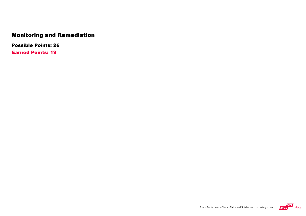# Monitoring and Remediation

Possible Points: 26

Earned Points: 19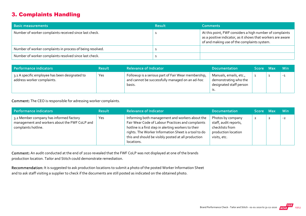# 3. Complaints Handling

| <b>Basic measurements</b>                                 | <b>Result</b> | <b>Comments</b>                                                                                                                                                        |
|-----------------------------------------------------------|---------------|------------------------------------------------------------------------------------------------------------------------------------------------------------------------|
| Number of worker complaints received since last check.    |               | At this point, FWF considers a high number of complaints<br>as a positive indicator, as it shows that workers are aware<br>of and making use of the complaints system. |
| Number of worker complaints in process of being resolved. |               |                                                                                                                                                                        |
| Number of worker complaints resolved since last check.    |               |                                                                                                                                                                        |

| Performance indicators                                                       | <b>Result</b> | <b>Relevance of Indicator</b>                                                                                    | <b>Documentation</b>                                                       | Score Max | <b>Min</b> |
|------------------------------------------------------------------------------|---------------|------------------------------------------------------------------------------------------------------------------|----------------------------------------------------------------------------|-----------|------------|
| 3.1 A specific employee has been designated to<br>address worker complaints. | Yes           | Followup is a serious part of Fair Wear membership,<br>and cannot be successfully managed on an ad-hoc<br>basis. | Manuals, emails, etc.,<br>demonstrating who the<br>designated staff person |           | $-1$       |

Comment: The CEO is responsible for adressing worker complaints.

| Performance indicators                                                                                          | <b>Result</b> | <b>Relevance of Indicator</b>                                                                                                                                                                                                                                                             | <b>Documentation</b>                                                                                 | Score Max      | <b>Min</b> |
|-----------------------------------------------------------------------------------------------------------------|---------------|-------------------------------------------------------------------------------------------------------------------------------------------------------------------------------------------------------------------------------------------------------------------------------------------|------------------------------------------------------------------------------------------------------|----------------|------------|
| 3.2 Member company has informed factory<br>management and workers about the FWF CoLP and<br>complaints hotline. | Yes           | Informing both management and workers about the<br>Fair Wear Code of Labour Practices and complaints<br>hotline is a first step in alerting workers to their<br>rights. The Worker Information Sheet is a tool to do<br>this and should be visibly posted at all production<br>locations. | Photos by company<br>staff, audit reports,<br>checklists from<br>production location<br>visits, etc. | $\overline{2}$ | $-2$       |

Comment: An audit conducted at the end of 2020 revealed that the FWF CoLP was not displayed at one of the brands production location. Tailor and Stitch could demonstrate remediation.

Recommendation: It is suggested to ask production locations to submit a photo of the posted Worker Information Sheet and to ask staff visiting a supplier to check if the documents are still posted as indicated on the obtained photo.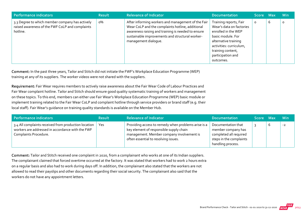| <b>Performance indicators</b>                                                                                  | <b>Result</b> | <b>Relevance of Indicator</b>                                                                                                                                                                                                           | <b>Documentation</b>                                                                                                                                                                                     | Score Max |   | <b>Min</b> |
|----------------------------------------------------------------------------------------------------------------|---------------|-----------------------------------------------------------------------------------------------------------------------------------------------------------------------------------------------------------------------------------------|----------------------------------------------------------------------------------------------------------------------------------------------------------------------------------------------------------|-----------|---|------------|
| 3.3 Degree to which member company has actively<br>raised awareness of the FWF CoLP and complaints<br>hotline. | о%            | After informing workers and management of the Fair<br>Wear CoLP and the complaints hotline, additional<br>awareness raising and training is needed to ensure<br>sustainable improvements and structural worker-<br>management dialogue. | Training reports, Fair<br>Wear's data on factories<br>enrolled in the WEP<br>basic module. For<br>alternative training<br>activities: curriculum,<br>training content,<br>participation and<br>outcomes. | $\circ$   | ь | $\circ$    |

Comment: In the past three years, Tailor and Stitch did not initiate the FWF's Workplace Education Programme (WEP) training at any of its suppliers. The worker videos were not shared with the suppliers.

Requirement: Fair Wear requires members to actively raise awareness about the Fair Wear Code of Labour Practices and Fair Wear complaint hotline. Tailor and Stitch should ensure good quality systematic training of workers and management on these topics. To this end, members can either use Fair Wear's Workplace Education Programme (WEP) basic module or implement training related to the Fair Wear CoLP and complaint hotline through service providers or brand staff (e.g. their local staff). Fair Wear's guidance on training quality standards is available on the Member Hub.

| <b>Performance indicators</b>                                                                                                     | <b>Result</b> | <b>Relevance of Indicator</b>                                                                                                                                                       | <b>Documentation</b>                                                                                               | Score Max |   | <b>Min</b> |
|-----------------------------------------------------------------------------------------------------------------------------------|---------------|-------------------------------------------------------------------------------------------------------------------------------------------------------------------------------------|--------------------------------------------------------------------------------------------------------------------|-----------|---|------------|
| 3.4 All complaints received from production location<br>workers are addressed in accordance with the FWF<br>Complaints Procedure. | Yes           | Providing access to remedy when problems arise is a<br>key element of responsible supply chain<br>management. Member company involvement is<br>often essential to resolving issues. | Documentation that<br>member company has<br>completed all required<br>steps in the complaints<br>handling process. |           | O | $-2$       |

Comment: Tailor and Stitch received one complaint in 2020, from a complainant who works at one of its Indian suppliers. The complainant claimed that forced overtime occurred at the factory. It was stated that workers had to work 2 hours extra on a regular basis and also had to work during days off. In addition, the complainant also stated that the workers are not allowed to read their payslips and other documents regarding their social security. The complainant also said that the workers do not have any appointment letters.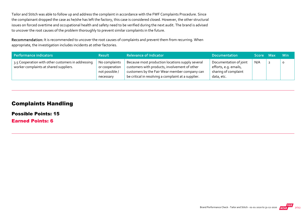Tailor and Stitch was able to follow up and address the complaint in accordance with the FWF Complaints Procedure. Since the complainant dropped the case as he/she has left the factory, this case is considered closed. However, the other structural issues on forced overtime and occupational health and safety need to be verified during the next audit. The brand is advised to uncover the root causes of the problem thoroughly to prevent similar complaints in the future.

Recommendation: It is recommended to uncover the root causes of complaints and prevent them from recurring. When appropriate, the investigation includes incidents at other factories.

| Performance indicators                                                                       | <b>Result</b>                                                  | <b>Relevance of Indicator</b>                                                                                                                                                                             | <b>Documentation</b>                                                                  | Score Max | <b>Min</b> |
|----------------------------------------------------------------------------------------------|----------------------------------------------------------------|-----------------------------------------------------------------------------------------------------------------------------------------------------------------------------------------------------------|---------------------------------------------------------------------------------------|-----------|------------|
| 3.5 Cooperation with other customers in addressing<br>worker complaints at shared suppliers. | No complaints<br>or cooperation<br>not possible /<br>necessary | Because most production locations supply several<br>customers with products, involvement of other<br>customers by the Fair Wear member company can<br>be critical in resolving a complaint at a supplier. | Documentation of joint<br>efforts, e.g. emails,<br>sharing of complaint<br>data, etc. | N/A       | $\Omega$   |

#### Complaints Handling

Possible Points: 15

Earned Points: 6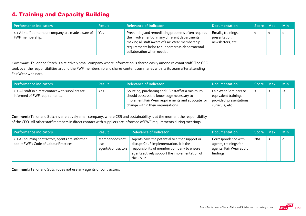# 4. Training and Capacity Building

| Performance indicators                                               | <b>Result</b> | <b>Relevance of Indicator</b>                                                                                                                                                                                                            | <b>Documentation</b>                                     | Score Max | <b>Min</b> |
|----------------------------------------------------------------------|---------------|------------------------------------------------------------------------------------------------------------------------------------------------------------------------------------------------------------------------------------------|----------------------------------------------------------|-----------|------------|
| 4.1 All staff at member company are made aware of<br>FWF membership. | Yes           | Preventing and remediating problems often requires<br>the involvement of many different departments;<br>making all staff aware of Fair Wear membership<br>requirements helps to support cross-departmental<br>collaboration when needed. | Emails, trainings,<br>presentation,<br>newsletters, etc. |           | O          |

Comment: Tailor and Stitch is a relatively small company where information is shared easily among relevant staff. The CEO took over the responsibilities around the FWF membership and shares content summaries with its its team after attending Fair Wear webinars.

| Performance indicators                                                              | <b>Result</b> | <b>Relevance of Indicator</b>                                                                                                                                                           | <b>Documentation</b>                                                                         | Score Max | <b>Min</b> |
|-------------------------------------------------------------------------------------|---------------|-----------------------------------------------------------------------------------------------------------------------------------------------------------------------------------------|----------------------------------------------------------------------------------------------|-----------|------------|
| 4.2 All staff in direct contact with suppliers are<br>informed of FWF requirements. | Yes           | Sourcing, purchasing and CSR staff at a minimum<br>should possess the knowledge necessary to<br>implement Fair Wear requirements and advocate for<br>change within their organisations. | Fair Wear Seminars or<br>equivalent trainings<br>provided; presentations,<br>curricula, etc. |           | $-1$       |

Comment: Tailor and Stitch is a relatively small company, where CSR and sustainability is at the moment the responsibility of the CEO. All other staff members in direct contact with suppliers are informed of FWF requirements during meetings.

| Performance indicators                                                                    | <b>Result</b>                                       | <b>Relevance of Indicator</b>                                                                                                                                                                        | <b>Documentation</b>                                                                 | Score Max |                | <b>Min</b> |
|-------------------------------------------------------------------------------------------|-----------------------------------------------------|------------------------------------------------------------------------------------------------------------------------------------------------------------------------------------------------------|--------------------------------------------------------------------------------------|-----------|----------------|------------|
| 4.3 All sourcing contractors/agents are informed<br>about FWF's Code of Labour Practices. | Member does not<br><b>use</b><br>agents/contractors | Agents have the potential to either support or<br>disrupt CoLP implementation. It is the<br>responsibility of member company to ensure<br>agents actively support the implementation of<br>the CoLP. | Correspondence with<br>agents, trainings for<br>agents, Fair Wear audit<br>findings. | N/A       | $\overline{2}$ |            |

Comment: Tailor and Stitch does not use any agents or contractors.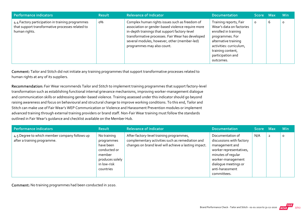| <b>Performance indicators</b>                                                                                         | <b>Result</b> | <b>Relevance of Indicator</b>                                                                                                                                                                                                                                                           | <b>Documentation</b>                                                                                                                                                                                    | <b>Score</b> | - Max | <b>Min</b> |
|-----------------------------------------------------------------------------------------------------------------------|---------------|-----------------------------------------------------------------------------------------------------------------------------------------------------------------------------------------------------------------------------------------------------------------------------------------|---------------------------------------------------------------------------------------------------------------------------------------------------------------------------------------------------------|--------------|-------|------------|
| 4.4 Factory participation in training programmes<br>that support transformative processes related to<br>human rights. | о%            | Complex human rights issues such as freedom of<br>association or gender-based violence require more<br>in-depth trainings that support factory-level<br>transformative processes. Fair Wear has developed<br>several modules, however, other (member-led)<br>programmes may also count. | Training reports, Fair<br>Wear's data on factories<br>enrolled in training<br>programmes. For<br>alternative training<br>activities: curriculum,<br>training content,<br>participation and<br>outcomes. | $\circ$      | b     | $\circ$    |

Comment: Tailor and Stitch did not initiate any training programmes that support transformative processes related to human rights at any of its suppliers.

Recommendation: Fair Wear recommends Tailor and Stitch to implement training programmes that support factory-level transformation such as establishing functional internal grievance mechanisms, improving worker‐management dialogue and communication skills or addressing gender‐based violence. Training assessed under this indicator should go beyond raising awareness and focus on behavioural and structural change to improve working conditions. To this end, Tailor and Stitch can make use of Fair Wear's WEP Communication or Violence and Harassment Prevention modules or implement advanced training through external training providers or brand staff. Non-Fair Wear training must follow the standards outlined in Fair Wear's guidance and checklist available on the Member Hub.

| Performance indicators                                                       | <b>Result</b>                                                                                                   | <b>Relevance of Indicator</b>                                                                                                                         | <b>Documentation</b>                                                                                                                                                                           | Score Max |                | <b>Min</b> |
|------------------------------------------------------------------------------|-----------------------------------------------------------------------------------------------------------------|-------------------------------------------------------------------------------------------------------------------------------------------------------|------------------------------------------------------------------------------------------------------------------------------------------------------------------------------------------------|-----------|----------------|------------|
| 4.5 Degree to which member company follows up<br>after a training programme. | No training<br>programmes<br>have been<br>conducted or<br>member<br>produces solely<br>in low-risk<br>countries | After factory-level training programmes,<br>complementary activities such as remediation and<br>changes on brand level will achieve a lasting impact. | Documentation of<br>discussions with factory<br>management and<br>worker representatives,<br>minutes of regular<br>worker-management<br>dialogue meetings or<br>anti-harassment<br>committees. | N/A       | $\overline{2}$ | $\circ$    |

Comment: No training programmes had been conducted in 2020.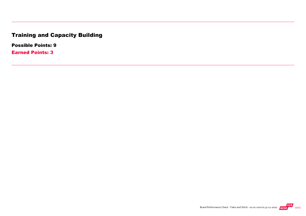# Training and Capacity Building

Possible Points: 9

Earned Points: 3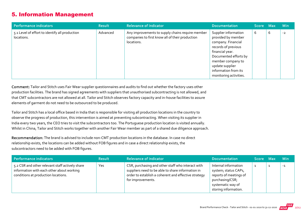## 5. Information Management

| Performance indicators                                       | <b>Result</b> | <b>Relevance of Indicator</b>                                                                                     | <b>Documentation</b>                                                                                                                                                                                                          | Score Max |   | <b>Min</b> |
|--------------------------------------------------------------|---------------|-------------------------------------------------------------------------------------------------------------------|-------------------------------------------------------------------------------------------------------------------------------------------------------------------------------------------------------------------------------|-----------|---|------------|
| 5.1 Level of effort to identify all production<br>locations. | Advanced      | Any improvements to supply chains require member<br>companies to first know all of their production<br>locations. | Supplier information<br>provided by member<br>company. Financial<br>records of previous<br>financial year.<br>Documented efforts by<br>member company to<br>update supplier<br>information from its<br>monitoring activities. | b         | 6 | $-2$       |

Comment: Tailor and Stitch uses Fair Wear supplier questionnaires and audits to find out whether the factory uses other production facilities. The brand has signed agreements with suppliers that unauthorised subcontracting is not allowed, and that CMT subcontractors are not allowed at all. Tailor and Stitch observes factory capacity and in‐house facilities to assure elements of garment do not need to be outsourced to be produced.

Tailor and Stitch has a local office based in India that is responsible for visiting all production locations in the country to observe the progress of production, this intervention is aimed at preventing subcontracting. When visiting its supplier in India every two years, the CEO tries to visit the subcontractors too. The Portuguese production location is visited annually. Whilst in China, Tailor and Stitch works together with another Fair Wear member as part of a shared due diligence approach.

Recommendation: The brand is advised to include non‐CMT production locations in the database. In case no direct relationship exists, the locations can be added without FOB figures and in case a direct relationship exists, the subcontractors need to be added with FOB figures.

| Performance indicators                                                                                                              | <b>Result</b> | <b>Relevance of Indicator</b>                                                                                                                                                       | <b>Documentation</b>                                                                                                                   | Score Max | <b>Min</b> |
|-------------------------------------------------------------------------------------------------------------------------------------|---------------|-------------------------------------------------------------------------------------------------------------------------------------------------------------------------------------|----------------------------------------------------------------------------------------------------------------------------------------|-----------|------------|
| 5.2 CSR and other relevant staff actively share<br>information with each other about working<br>conditions at production locations. | Yes           | CSR, purchasing and other staff who interact with<br>suppliers need to be able to share information in<br>order to establish a coherent and effective strategy<br>for improvements. | Internal information<br>system; status CAPs,<br>reports of meetings of<br>purchasing/CSR;<br>systematic way of<br>storing information. |           | $-1$       |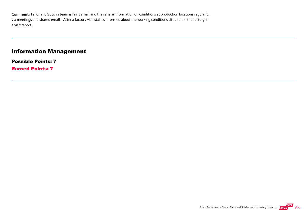Comment: Tailor and Stitch's team is fairly small and they share information on conditions at production locations regularly, via meetings and shared emails. After a factory visit staff is informed about the working conditions situation in the factory in a visit report.

# Information Management

Possible Points: 7 Earned Points: 7

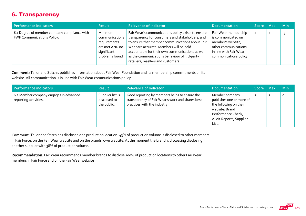# 6. Transparency

| Performance indicators                                                     | <b>Result</b>                                                                                | <b>Relevance of Indicator</b>                                                                                                                                                                                                                                                                                                                   | <b>Documentation</b>                                                                                                                        | Score Max      | <b>Min</b> |
|----------------------------------------------------------------------------|----------------------------------------------------------------------------------------------|-------------------------------------------------------------------------------------------------------------------------------------------------------------------------------------------------------------------------------------------------------------------------------------------------------------------------------------------------|---------------------------------------------------------------------------------------------------------------------------------------------|----------------|------------|
| 6.1 Degree of member company compliance with<br>FWF Communications Policy. | Minimum<br>communications<br>requirements<br>are met AND no<br>significant<br>problems found | Fair Wear's communications policy exists to ensure<br>transparency for consumers and stakeholders, and<br>to ensure that member communications about Fair<br>Wear are accurate. Members will be held<br>accountable for their own communications as well<br>as the communications behaviour of 3rd-party<br>retailers, resellers and customers. | Fair Wear membership<br>is communicated on<br>member's website;<br>other communications<br>in line with Fair Wear<br>communications policy. | $\overline{2}$ | -3         |

Comment: Tailor and Stitch's publishes information about Fair Wear Foundation and its membership commitments on its website. All communication is in line with Fair Wear communications policy.

| Performance indicators                                          | <b>Result</b>                                   | <b>Relevance of Indicator</b>                                                                                                     | <b>Documentation</b>                                                                                                                             | Score Max      |                | <b>Min</b> |
|-----------------------------------------------------------------|-------------------------------------------------|-----------------------------------------------------------------------------------------------------------------------------------|--------------------------------------------------------------------------------------------------------------------------------------------------|----------------|----------------|------------|
| 6.2 Member company engages in advanced<br>reporting activities. | Supplier list is<br>disclosed to<br>the public. | Good reporting by members helps to ensure the<br>transparency of Fair Wear's work and shares best<br>practices with the industry. | Member company<br>publishes one or more of<br>the following on their<br>website: Brand<br>Performance Check,<br>Audit Reports, Supplier<br>List. | $\overline{2}$ | $\overline{2}$ | $\Omega$   |

Comment: Tailor and Stitch has disclosed one production location. 43% of production volume is disclosed to other members in Fair Force, on the Fair Wear website and on the brands' own website. At the moment the brand is discussing disclosing another supplier with 38% of production volume.

Recommendation: Fair Wear recommends member brands to disclose 100% of production locations to other Fair Wear members in Fair Force and on the Fair Wear website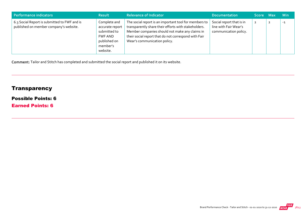| Performance indicators                                                                 | <b>Result</b>                                                                                             | <b>Relevance of Indicator</b>                                                                                                                                                                                                                           | <b>Documentation</b>                                                       | Score Max      | <b>Min</b> |
|----------------------------------------------------------------------------------------|-----------------------------------------------------------------------------------------------------------|---------------------------------------------------------------------------------------------------------------------------------------------------------------------------------------------------------------------------------------------------------|----------------------------------------------------------------------------|----------------|------------|
| 6.3 Social Report is submitted to FWF and is<br>published on member company's website. | Complete and<br>accurate report<br>submitted to<br><b>FWF AND</b><br>published on<br>member's<br>website. | The social report is an important tool for members to<br>transparently share their efforts with stakeholders.<br>Member companies should not make any claims in<br>their social report that do not correspond with Fair<br>Wear's communication policy. | Social report that is in<br>line with Fair Wear's<br>communication policy. | $\overline{2}$ | $-1$       |

Comment: Tailor and Stitch has completed and submitted the social report and published it on its website.

# **Transparency**

#### Possible Points: 6

Earned Points: 6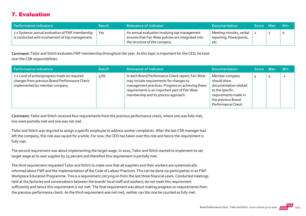# 7. Evaluation

| Performance indicators                                                                               | <b>Result</b> | <b>Relevance of Indicator</b>                                                                                                         | <b>Documentation</b>                                       | Score Max |   | – Min   |
|------------------------------------------------------------------------------------------------------|---------------|---------------------------------------------------------------------------------------------------------------------------------------|------------------------------------------------------------|-----------|---|---------|
| 7.1 Systemic annual evaluation of FWF membership<br>is conducted with involvement of top management. | Yes           | An annual evaluation involving top management<br>ensures that Fair Wear policies are integrated into<br>the structure of the company. | Meeting minutes, verbal<br>reporting, Powerpoints,<br>etc. |           | ◢ | $\circ$ |

Comment: Tailor and Stitch evaluates FWF membership throughout the year. As this topic is important for the CEO, he took over the CSR responsibilities.

| Performance indicators                                                                                                           | <b>Result</b> | <b>Relevance of Indicator</b>                                                                                                                                                                                                               | Documentation                                                                                                                                 | <b>Score</b> | - Max | <b>Min</b> |
|----------------------------------------------------------------------------------------------------------------------------------|---------------|---------------------------------------------------------------------------------------------------------------------------------------------------------------------------------------------------------------------------------------------|-----------------------------------------------------------------------------------------------------------------------------------------------|--------------|-------|------------|
| 7.2 Level of action/progress made on required<br>changes from previous Brand Performance Check<br>implemented by member company. | 52%           | In each Brand Performance Check report, Fair Wear<br>may include requirements for changes to<br>management practices. Progress on achieving these<br>requirements is an important part of Fair Wear<br>membership and its process approach. | Member company<br>should show<br>documentation related<br>to the specific<br>requirements made in<br>the previous Brand<br>Performance Check. | 4            |       | $-2$       |

Comment: Tailor and Stitch received four requirements from the previous performance check, where one was fully met, two were partially met and one was not met.

Tailor and Stitch was required to assign a specific employee to address worker complaints. After the last CSR manager had left the company, this role was vacant for a while. For now, the CEO has taken over this role and hence the requirement is fully met.

The second requirement was about implementing the target wage. In 2020, Tailor and Stitch started to implement its set target wage at its own supplier by 25 percent and therefore this requirement is partially met.

The third requirement requested Tailor and Stitch to make sure that all suppliers and their workers are systematically informed about FWF and the implementation of the Code of Labour Practices. This can be done via participation in an FWF Workplace Education Programme. This is a requirement carrying on from the last three financial years. Conducted meetings held at the factories and conversations between the brands' local staff and workers, do not meet this requirement sufficiently and hence this requirement is not met. The final requirement was about making progress on requirements from the previous performance check. As the third requirement was not met, neither can this one be counted as fully met.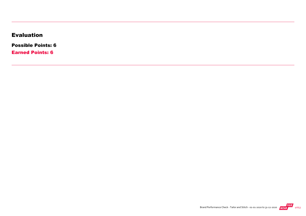# Evaluation

Possible Points: 6

Earned Points: 6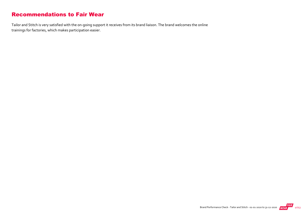#### Recommendations to Fair Wear

Tailor and Stitch is very satisfied with the on‐going support it receives from its brand liaison. The brand welcomes the online trainings for factories, which makes participation easier.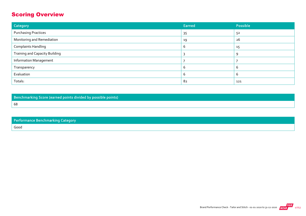# Scoring Overview

| Category                              | Earned | Possible |
|---------------------------------------|--------|----------|
| <b>Purchasing Practices</b>           | 35     | 52       |
| Monitoring and Remediation            | 19     | 26       |
| <b>Complaints Handling</b>            | b      | 15       |
| <b>Training and Capacity Building</b> |        | 9        |
| <b>Information Management</b>         |        |          |
| Transparency                          | b      | b        |
| Evaluation                            |        | b        |
| Totals:                               | 82     | 121      |

Benchmarking Score (earned points divided by possible points) 68

| Performance Benchmarking Category |
|-----------------------------------|
| Good                              |